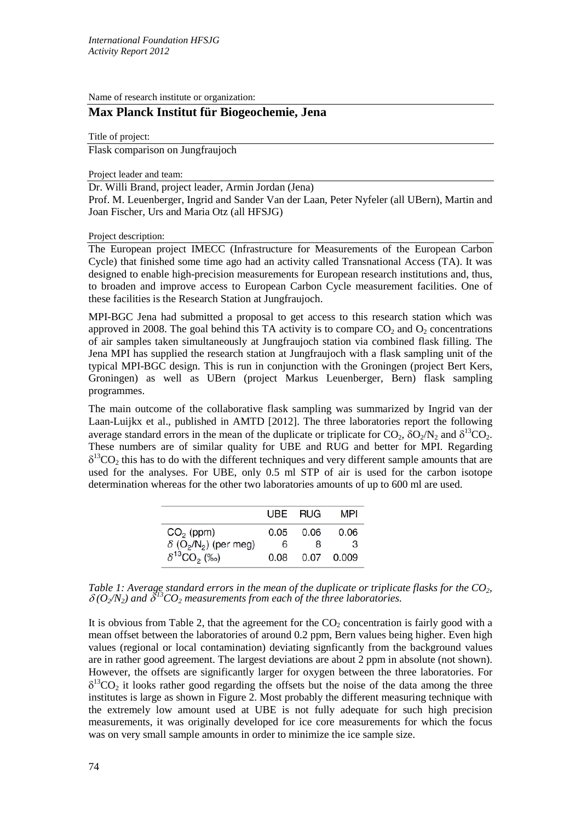Name of research institute or organization:

## **Max Planck Institut für Biogeochemie, Jena**

Title of project:

Flask comparison on Jungfraujoch

Project leader and team:

Dr. Willi Brand, project leader, Armin Jordan (Jena)

Prof. M. Leuenberger, Ingrid and Sander Van der Laan, Peter Nyfeler (all UBern), Martin and Joan Fischer, Urs and Maria Otz (all HFSJG)

Project description:

The European project IMECC (Infrastructure for Measurements of the European Carbon Cycle) that finished some time ago had an activity called Transnational Access (TA). It was designed to enable high-precision measurements for European research institutions and, thus, to broaden and improve access to European Carbon Cycle measurement facilities. One of these facilities is the Research Station at Jungfraujoch.

MPI-BGC Jena had submitted a proposal to get access to this research station which was approved in 2008. The goal behind this TA activity is to compare  $CO<sub>2</sub>$  and  $O<sub>2</sub>$  concentrations of air samples taken simultaneously at Jungfraujoch station via combined flask filling. The Jena MPI has supplied the research station at Jungfraujoch with a flask sampling unit of the typical MPI-BGC design. This is run in conjunction with the Groningen (project Bert Kers, Groningen) as well as UBern (project Markus Leuenberger, Bern) flask sampling programmes.

The main outcome of the collaborative flask sampling was summarized by Ingrid van der Laan-Luijkx et al., published in AMTD [2012]. The three laboratories report the following average standard errors in the mean of the duplicate or triplicate for  $CO_2$ ,  $\delta O_2/N_2$  and  $\delta^{13}CO_2$ . These numbers are of similar quality for UBE and RUG and better for MPI. Regarding  $\delta^{13}$ CO<sub>2</sub> this has to do with the different techniques and very different sample amounts that are used for the analyses. For UBE, only 0.5 ml STP of air is used for the carbon isotope determination whereas for the other two laboratories amounts of up to 600 ml are used.

|                                                      |      | UBE RUG | MPI   |
|------------------------------------------------------|------|---------|-------|
| $CO2$ (ppm)                                          | 0.05 | 0.06    | 0.06  |
| $\delta$ (O <sub>2</sub> /N <sub>2</sub> ) (per meg) | 6    | 8       | з     |
| $\delta^{13}CO_2$ (%o)                               | 0.08 | 0.07    | 0.009 |

*Table 1: Average standard errors in the mean of the duplicate or triplicate flasks for the CO<sub>2</sub>,*  $\delta(O_2/N_2)$  *and*  $\delta^{13}CO_2$  *<i>measurements from each of the three laboratories.* 

It is obvious from Table 2, that the agreement for the  $CO<sub>2</sub>$  concentration is fairly good with a mean offset between the laboratories of around 0.2 ppm, Bern values being higher. Even high values (regional or local contamination) deviating signficantly from the background values are in rather good agreement. The largest deviations are about 2 ppm in absolute (not shown). However, the offsets are significantly larger for oxygen between the three laboratories. For  $\delta^{13}CO_2$  it looks rather good regarding the offsets but the noise of the data among the three institutes is large as shown in Figure 2. Most probably the different measuring technique with the extremely low amount used at UBE is not fully adequate for such high precision measurements, it was originally developed for ice core measurements for which the focus was on very small sample amounts in order to minimize the ice sample size.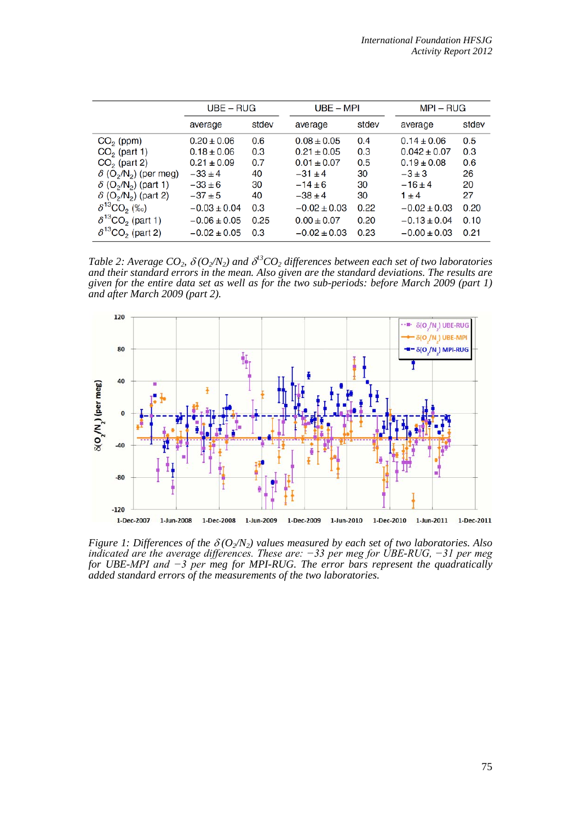|                                                      | $UBE - RUG$      |       | UBE - MPI        |       | $MPI - RUG$      |       |
|------------------------------------------------------|------------------|-------|------------------|-------|------------------|-------|
|                                                      | average          | stdev | average          | stdev | average          | stdev |
| $CO2$ (ppm)                                          | $0.20 \pm 0.06$  | 0.6   | $0.08 \pm 0.05$  | 0.4   | $0.14 \pm 0.06$  | 0.5   |
| $CO2$ (part 1)                                       | $0.18 \pm 0.06$  | 0.3   | $0.21 \pm 0.05$  | 0.3   | $0.042 \pm 0.07$ | 0.3   |
| $CO2$ (part 2)                                       | $0.21 \pm 0.09$  | 0.7   | $0.01 \pm 0.07$  | 0.5   | $0.19 \pm 0.08$  | 0.6   |
| $\delta$ (O <sub>2</sub> /N <sub>2</sub> ) (per meg) | $-33 \pm 4$      | 40    | $-31 \pm 4$      | 30    | $-3 \pm 3$       | 26    |
| $\delta$ (O <sub>2</sub> /N <sub>2</sub> ) (part 1)  | $-33 \pm 6$      | 30    | $-14 \pm 6$      | 30    | $-16 \pm 4$      | 20    |
| $\delta$ (O <sub>2</sub> /N <sub>2</sub> ) (part 2)  | $-37 \pm 5$      | 40    | $-38 \pm 4$      | 30    | $1 \pm 4$        | 27    |
| $\delta^{13}$ CO <sub>2</sub> (‰)                    | $-0.03 \pm 0.04$ | 0.3   | $-0.02 \pm 0.03$ | 0.22  | $-0.02 \pm 0.03$ | 0.20  |
| $\delta^{13}$ CO <sub>2</sub> (part 1)               | $-0.06 \pm 0.05$ | 0.25  | $0.00 \pm 0.07$  | 0.20  | $-0.13 \pm 0.04$ | 0.10  |
| $\delta^{13}$ CO <sub>2</sub> (part 2)               | $-0.02 \pm 0.05$ | 0.3   | $-0.02 \pm 0.03$ | 0.23  | $-0.00 \pm 0.03$ | 0.21  |

*Table 2: Average CO<sub>2</sub>,*  $\delta(O_2/N_2)$  *and*  $\delta^3 CO_2$  *differences between each set of two laboratories and their standard errors in the mean. Also given are the standard deviations. The results are given for the entire data set as well as for the two sub-periods: before March 2009 (part 1) and after March 2009 (part 2).*



*Figure 1: Differences of the*  $\delta(O_2/N_2)$  *values measured by each set of two laboratories. Also indicated are the average differences. These are: −33 per meg for UBE-RUG, −31 per meg for UBE-MPI and −3 per meg for MPI-RUG. The error bars represent the quadratically added standard errors of the measurements of the two laboratories.*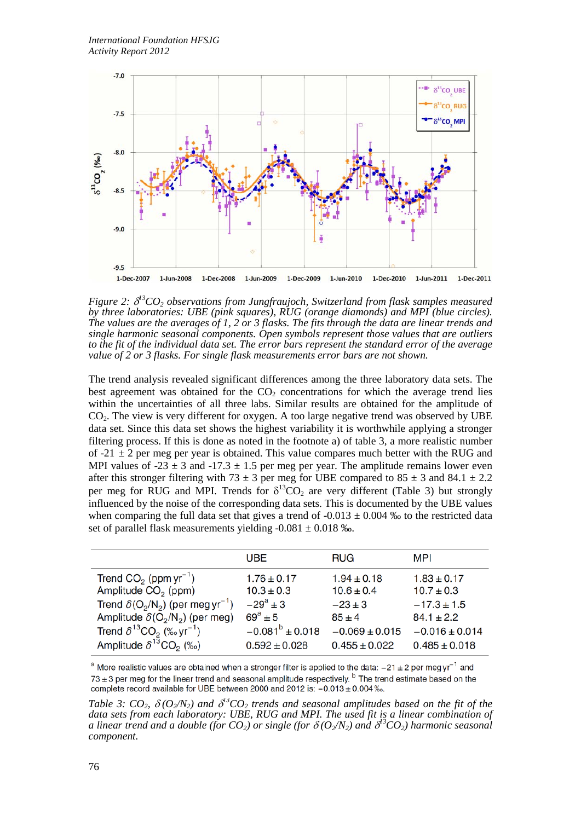

*Figure 2:*  $\delta^{3}CO_{2}$  *observations from Jungfraujoch, Switzerland from flask samples measured by three laboratories: UBE (pink squares), RUG (orange diamonds) and MPI (blue circles). The values are the averages of 1, 2 or 3 flasks. The fits through the data are linear trends and single harmonic seasonal components. Open symbols represent those values that are outliers to the fit of the individual data set. The error bars represent the standard error of the average value of 2 or 3 flasks. For single flask measurements error bars are not shown.*

The trend analysis revealed significant differences among the three laboratory data sets. The best agreement was obtained for the  $CO<sub>2</sub>$  concentrations for which the average trend lies within the uncertainties of all three labs. Similar results are obtained for the amplitude of  $CO<sub>2</sub>$ . The view is very different for oxygen. A too large negative trend was observed by UBE data set. Since this data set shows the highest variability it is worthwhile applying a stronger filtering process. If this is done as noted in the footnote a) of table 3, a more realistic number of  $-21 \pm 2$  per meg per year is obtained. This value compares much better with the RUG and MPI values of  $-23 \pm 3$  and  $-17.3 \pm 1.5$  per meg per year. The amplitude remains lower even after this stronger filtering with 73  $\pm$  3 per meg for UBE compared to 85  $\pm$  3 and 84.1  $\pm$  2.2 per meg for RUG and MPI. Trends for  $\delta^{13}CO_2$  are very different (Table 3) but strongly influenced by the noise of the corresponding data sets. This is documented by the UBE values when comparing the full data set that gives a trend of  $-0.013 \pm 0.004$  % to the restricted data set of parallel flask measurements yielding  $-0.081 \pm 0.018$  ‰.

|                                                           | <b>UBE</b>             | <b>RUG</b>         | <b>MPI</b>         |
|-----------------------------------------------------------|------------------------|--------------------|--------------------|
| Trend $CO2$ (ppm yr <sup>-1</sup> )                       | $1.76 \pm 0.17$        | $1.94 \pm 0.18$    | $1.83 \pm 0.17$    |
| Amplitude CO <sub>2</sub> (ppm)                           | $10.3 \pm 0.3$         | $10.6 \pm 0.4$     | $10.7 \pm 0.3$     |
| Trend $\delta(O_2/N_2)$ (per meg yr <sup>-1</sup> )       | $-29^{\circ} \pm 3$    | $-23 \pm 3$        | $-17.3 \pm 1.5$    |
| Amplitude $\delta(O_2/N_2)$ (per meg)                     | $69^a \pm 5$           | $85 \pm 4$         | $84.1 \pm 2.2$     |
| Trend $\delta^{13}$ CO <sub>2</sub> (% yr <sup>-1</sup> ) | $-0.081^{b} \pm 0.018$ | $-0.069 \pm 0.015$ | $-0.016 \pm 0.014$ |
| Amplitude $\delta^{13}$ CO <sub>2</sub> (%)               | $0.592 \pm 0.028$      | $0.455 \pm 0.022$  | $0.485 \pm 0.018$  |

<sup>a</sup> More realistic values are obtained when a stronger filter is applied to the data:  $-21 \pm 2$  per megyr<sup>-1</sup> and  $73 \pm 3$  per meg for the linear trend and seasonal amplitude respectively. <sup>b</sup> The trend estimate based on the complete record available for UBE between 2000 and 2012 is: -0.013 ± 0.004%.

*Table 3:*  $CO_2$ ,  $\delta(O_2/N_2)$  and  $\delta^3CO_2$  *trends and seasonal amplitudes based on the fit of the data sets from each laboratory: UBE, RUG and MPI. The used fit is a linear combination of*  a linear trend and a double (for  $CO_2$ ) or single (for  $\delta(O_2/N_2)$  and  $\delta^{3}CO_2$ ) harmonic seasonal *component.*